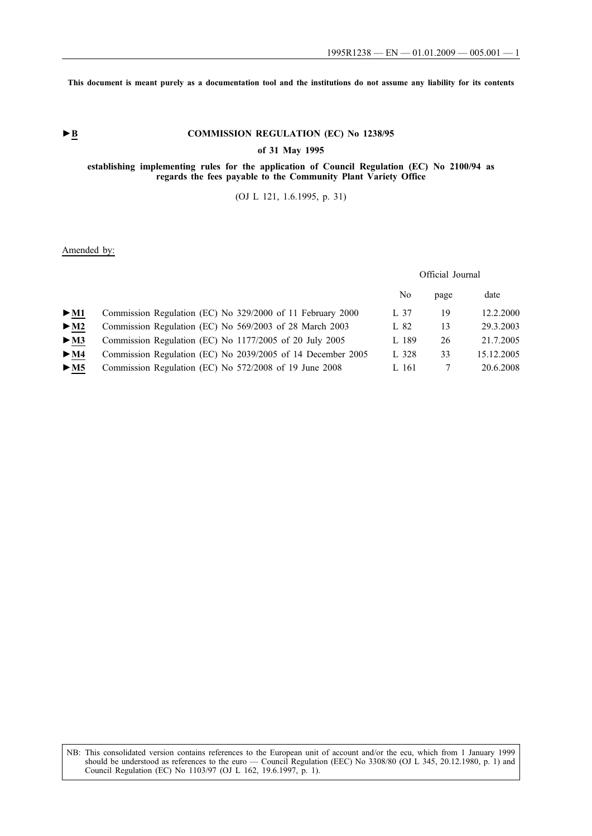**This document is meant purely as a documentation tool and the institutions do not assume any liability for its contents**

# ► **B** COMMISSION REGULATION (EC) No 1238/95

### **of 31 May 1995**

### **establishing implementing rules for the application of Council Regulation (EC) No 2100/94 as regards the fees payable to the Community Plant Variety Office**

(OJ L 121, 1.6.1995, p. 31)

# Amended by:

# Official Journal

|        |                                                             | No    | page | date       |
|--------|-------------------------------------------------------------|-------|------|------------|
| $>$ M1 | Commission Regulation (EC) No 329/2000 of 11 February 2000  | L 37  | 19   | 12.2.2000  |
| $>$ M2 | Commission Regulation (EC) No 569/2003 of 28 March 2003     | L 82  | 13   | 29.3.2003  |
| $>$ M3 | Commission Regulation (EC) No 1177/2005 of 20 July 2005     | L 189 | 26   | 21.7.2005  |
| $>$ M4 | Commission Regulation (EC) No 2039/2005 of 14 December 2005 | L 328 | 33   | 15.12.2005 |
| > M5   | Commission Regulation (EC) No 572/2008 of 19 June 2008      | L 161 |      | 20.6.2008  |

NB: This consolidated version contains references to the European unit of account and/or the ecu, which from 1 January 1999 should be understood as references to the euro — Council Regulation (EEC) No 3308/80 (OJ L 345, 20.12.1980, p. 1) and Council Regulation (EC) No 1103/97 (OJ L 162, 19.6.1997, p. 1).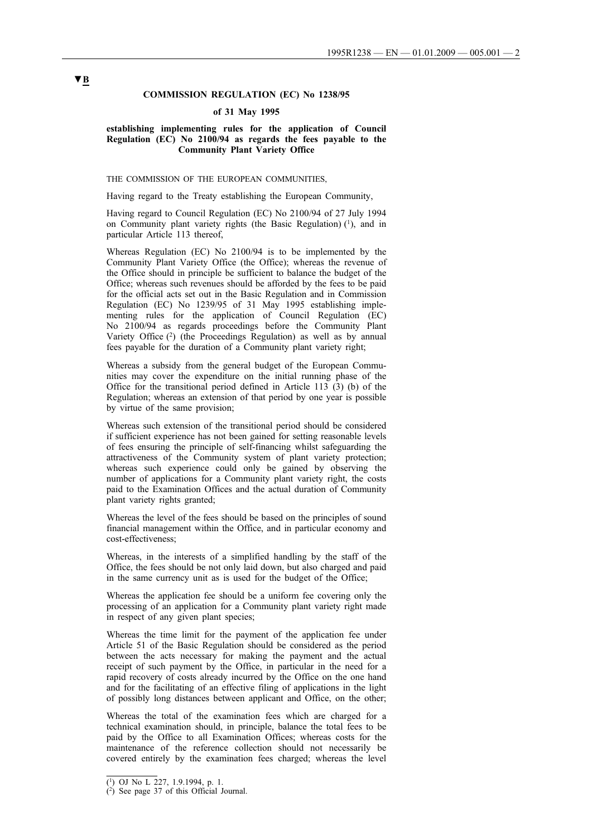# **COMMISSION REGULATION (EC) No 1238/95**

#### **of 31 May 1995**

### **establishing implementing rules for the application of Council Regulation (EC) No 2100/94 as regards the fees payable to the Community Plant Variety Office**

# THE COMMISSION OF THE EUROPEAN COMMUNITIES,

Having regard to the Treaty establishing the European Community,

Having regard to Council Regulation (EC) No 2100/94 of 27 July 1994 on Community plant variety rights (the Basic Regulation)  $(1)$ , and in particular Article 113 thereof,

Whereas Regulation (EC) No 2100/94 is to be implemented by the Community Plant Variety Office (the Office); whereas the revenue of the Office should in principle be sufficient to balance the budget of the Office; whereas such revenues should be afforded by the fees to be paid for the official acts set out in the Basic Regulation and in Commission Regulation (EC) No 1239/95 of 31 May 1995 establishing implementing rules for the application of Council Regulation (EC) No 2100/94 as regards proceedings before the Community Plant Variety Office (2) (the Proceedings Regulation) as well as by annual fees payable for the duration of a Community plant variety right;

Whereas a subsidy from the general budget of the European Communities may cover the expenditure on the initial running phase of the Office for the transitional period defined in Article 113 (3) (b) of the Regulation; whereas an extension of that period by one year is possible by virtue of the same provision;

Whereas such extension of the transitional period should be considered if sufficient experience has not been gained for setting reasonable levels of fees ensuring the principle of self-financing whilst safeguarding the attractiveness of the Community system of plant variety protection; whereas such experience could only be gained by observing the number of applications for a Community plant variety right, the costs paid to the Examination Offices and the actual duration of Community plant variety rights granted;

Whereas the level of the fees should be based on the principles of sound financial management within the Office, and in particular economy and cost-effectiveness;

Whereas, in the interests of a simplified handling by the staff of the Office, the fees should be not only laid down, but also charged and paid in the same currency unit as is used for the budget of the Office;

Whereas the application fee should be a uniform fee covering only the processing of an application for a Community plant variety right made in respect of any given plant species;

Whereas the time limit for the payment of the application fee under Article 51 of the Basic Regulation should be considered as the period between the acts necessary for making the payment and the actual receipt of such payment by the Office, in particular in the need for a rapid recovery of costs already incurred by the Office on the one hand and for the facilitating of an effective filing of applications in the light of possibly long distances between applicant and Office, on the other;

Whereas the total of the examination fees which are charged for a technical examination should, in principle, balance the total fees to be paid by the Office to all Examination Offices; whereas costs for the maintenance of the reference collection should not necessarily be covered entirely by the examination fees charged; whereas the level

 $\overline{(^1)}$  OJ No L 227, 1.9.1994, p. 1.

<sup>(2)</sup> See page 37 of this Official Journal.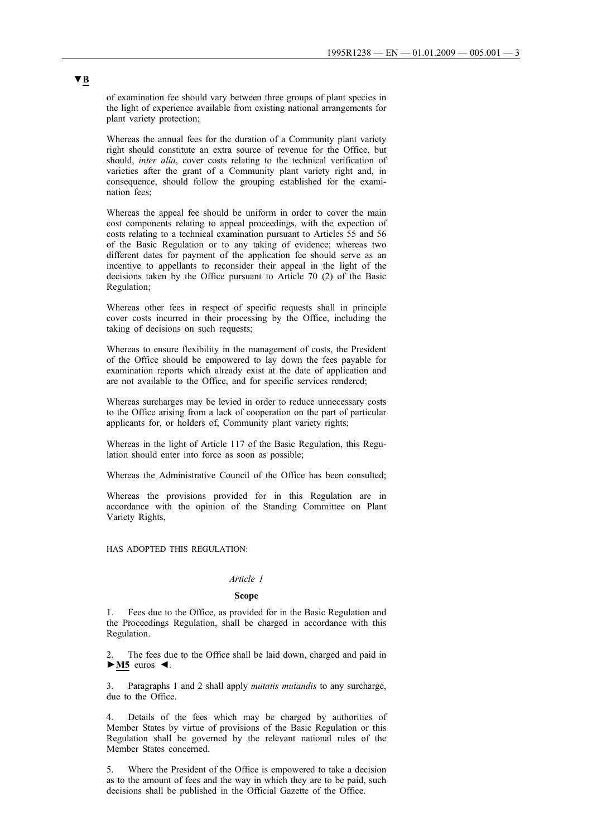of examination fee should vary between three groups of plant species in the light of experience available from existing national arrangements for plant variety protection;

Whereas the annual fees for the duration of a Community plant variety right should constitute an extra source of revenue for the Office, but should, *inter alia*, cover costs relating to the technical verification of varieties after the grant of a Community plant variety right and, in consequence, should follow the grouping established for the examination fees;

Whereas the appeal fee should be uniform in order to cover the main cost components relating to appeal proceedings, with the expection of costs relating to a technical examination pursuant to Articles 55 and 56 of the Basic Regulation or to any taking of evidence; whereas two different dates for payment of the application fee should serve as an incentive to appellants to reconsider their appeal in the light of the decisions taken by the Office pursuant to Article 70 (2) of the Basic Regulation;

Whereas other fees in respect of specific requests shall in principle cover costs incurred in their processing by the Office, including the taking of decisions on such requests;

Whereas to ensure flexibility in the management of costs, the President of the Office should be empowered to lay down the fees payable for examination reports which already exist at the date of application and are not available to the Office, and for specific services rendered;

Whereas surcharges may be levied in order to reduce unnecessary costs to the Office arising from a lack of cooperation on the part of particular applicants for, or holders of, Community plant variety rights;

Whereas in the light of Article 117 of the Basic Regulation, this Regulation should enter into force as soon as possible;

Whereas the Administrative Council of the Office has been consulted;

Whereas the provisions provided for in this Regulation are in accordance with the opinion of the Standing Committee on Plant Variety Rights,

HAS ADOPTED THIS REGULATION:

### *Article 1*

#### **Scope**

1. Fees due to the Office, as provided for in the Basic Regulation and the Proceedings Regulation, shall be charged in accordance with this Regulation.

The fees due to the Office shall be laid down, charged and paid in **►M5** euros ◄.

3. Paragraphs 1 and 2 shall apply *mutatis mutandis* to any surcharge, due to the Office.

4. Details of the fees which may be charged by authorities of Member States by virtue of provisions of the Basic Regulation or this Regulation shall be governed by the relevant national rules of the Member States concerned.

5. Where the President of the Office is empowered to take a decision as to the amount of fees and the way in which they are to be paid, such decisions shall be published in the Official Gazette of the Office.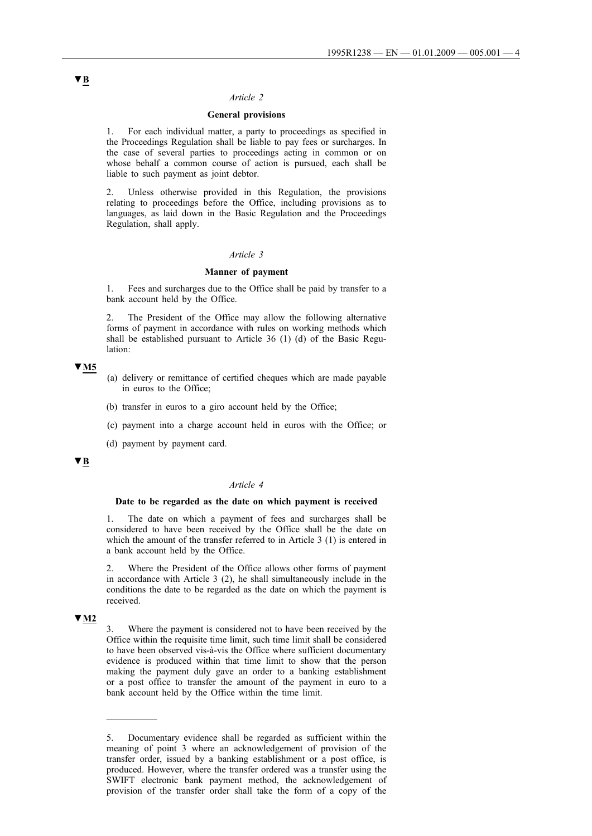#### *Article 2*

# **General provisions**

1. For each individual matter, a party to proceedings as specified in the Proceedings Regulation shall be liable to pay fees or surcharges. In the case of several parties to proceedings acting in common or on whose behalf a common course of action is pursued, each shall be liable to such payment as joint debtor.

2. Unless otherwise provided in this Regulation, the provisions relating to proceedings before the Office, including provisions as to languages, as laid down in the Basic Regulation and the Proceedings Regulation, shall apply.

### *Article 3*

#### **Manner of payment**

1. Fees and surcharges due to the Office shall be paid by transfer to a bank account held by the Office.

2. The President of the Office may allow the following alternative forms of payment in accordance with rules on working methods which shall be established pursuant to Article 36 (1) (d) of the Basic Regulation:

### **▼M5**

- (a) delivery or remittance of certified cheques which are made payable in euros to the Office;
- (b) transfer in euros to a giro account held by the Office;
- (c) payment into a charge account held in euros with the Office; or
- (d) payment by payment card.

# **▼B**

#### *Article 4*

#### **Date to be regarded as the date on which payment is received**

1. The date on which a payment of fees and surcharges shall be considered to have been received by the Office shall be the date on which the amount of the transfer referred to in Article 3 (1) is entered in a bank account held by the Office.

2. Where the President of the Office allows other forms of payment in accordance with Article 3 (2), he shall simultaneously include in the conditions the date to be regarded as the date on which the payment is received.

# **▼M2**

 $\overline{\phantom{a}}$ 

3. Where the payment is considered not to have been received by the Office within the requisite time limit, such time limit shall be considered to have been observed vis-à-vis the Office where sufficient documentary evidence is produced within that time limit to show that the person making the payment duly gave an order to a banking establishment or a post office to transfer the amount of the payment in euro to a bank account held by the Office within the time limit.

<sup>5.</sup> Documentary evidence shall be regarded as sufficient within the meaning of point 3 where an acknowledgement of provision of the transfer order, issued by a banking establishment or a post office, is produced. However, where the transfer ordered was a transfer using the SWIFT electronic bank payment method, the acknowledgement of provision of the transfer order shall take the form of a copy of the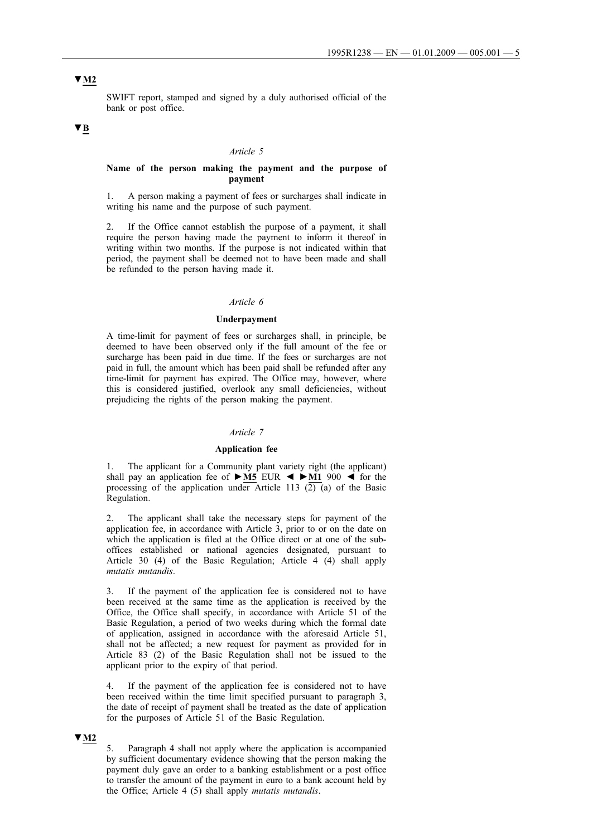# **▼M2**

SWIFT report, stamped and signed by a duly authorised official of the bank or post office.

# **▼B**

#### *Article 5*

### **Name of the person making the payment and the purpose of payment**

1. A person making a payment of fees or surcharges shall indicate in writing his name and the purpose of such payment.

2. If the Office cannot establish the purpose of a payment, it shall require the person having made the payment to inform it thereof in writing within two months. If the purpose is not indicated within that period, the payment shall be deemed not to have been made and shall be refunded to the person having made it.

#### *Article 6*

#### **Underpayment**

A time-limit for payment of fees or surcharges shall, in principle, be deemed to have been observed only if the full amount of the fee or surcharge has been paid in due time. If the fees or surcharges are not paid in full, the amount which has been paid shall be refunded after any time-limit for payment has expired. The Office may, however, where this is considered justified, overlook any small deficiencies, without prejudicing the rights of the person making the payment.

### *Article 7*

#### **Application fee**

1. The applicant for a Community plant variety right (the applicant) shall pay an application fee of **►M5** EUR ◄ **►M1** 900 ◄ for the processing of the application under Article 113  $(2)$  (a) of the Basic Regulation.

The applicant shall take the necessary steps for payment of the application fee, in accordance with Article 3, prior to or on the date on which the application is filed at the Office direct or at one of the suboffices established or national agencies designated, pursuant to Article 30 (4) of the Basic Regulation; Article 4 (4) shall apply *mutatis mutandis*.

3. If the payment of the application fee is considered not to have been received at the same time as the application is received by the Office, the Office shall specify, in accordance with Article 51 of the Basic Regulation, a period of two weeks during which the formal date of application, assigned in accordance with the aforesaid Article 51, shall not be affected; a new request for payment as provided for in Article 83 (2) of the Basic Regulation shall not be issued to the applicant prior to the expiry of that period.

4. If the payment of the application fee is considered not to have been received within the time limit specified pursuant to paragraph 3, the date of receipt of payment shall be treated as the date of application for the purposes of Article 51 of the Basic Regulation.

### **▼M2**

5. Paragraph 4 shall not apply where the application is accompanied by sufficient documentary evidence showing that the person making the payment duly gave an order to a banking establishment or a post office to transfer the amount of the payment in euro to a bank account held by the Office; Article 4 (5) shall apply *mutatis mutandis*.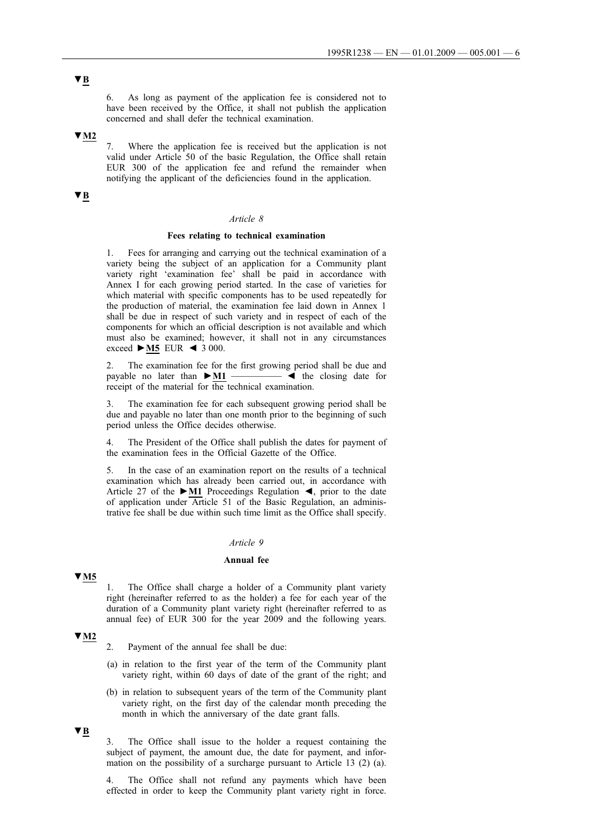6. As long as payment of the application fee is considered not to have been received by the Office, it shall not publish the application concerned and shall defer the technical examination.

**▼M2**

7. Where the application fee is received but the application is not valid under Article 50 of the basic Regulation, the Office shall retain EUR 300 of the application fee and refund the remainder when notifying the applicant of the deficiencies found in the application.

# **▼B**

#### *Article 8*

### **Fees relating to technical examination**

1. Fees for arranging and carrying out the technical examination of a variety being the subject of an application for a Community plant variety right 'examination fee' shall be paid in accordance with Annex I for each growing period started. In the case of varieties for which material with specific components has to be used repeatedly for the production of material, the examination fee laid down in Annex 1 shall be due in respect of such variety and in respect of each of the components for which an official description is not available and which must also be examined; however, it shall not in any circumstances exceed **►M5** EUR ◄ 3 000.

2. The examination fee for the first growing period shall be due and payable no later than  $\blacktriangleright$  M1  $\longrightarrow$   $\blacktriangleleft$  the closing date for  $p$ ayable no later than  $\blacktriangleright$ **M1** receipt of the material for the technical examination.

The examination fee for each subsequent growing period shall be due and payable no later than one month prior to the beginning of such period unless the Office decides otherwise.

4. The President of the Office shall publish the dates for payment of the examination fees in the Official Gazette of the Office.

5. In the case of an examination report on the results of a technical examination which has already been carried out, in accordance with Article 27 of the **►M1** Proceedings Regulation ◄, prior to the date of application under Article 51 of the Basic Regulation, an administrative fee shall be due within such time limit as the Office shall specify.

#### *Article 9*

#### **Annual fee**

**▼M5**

1. The Office shall charge a holder of a Community plant variety right (hereinafter referred to as the holder) a fee for each year of the duration of a Community plant variety right (hereinafter referred to as annual fee) of EUR 300 for the year 2009 and the following years.

# **▼M2**

- 2. Payment of the annual fee shall be due:
- (a) in relation to the first year of the term of the Community plant variety right, within 60 days of date of the grant of the right; and
- (b) in relation to subsequent years of the term of the Community plant variety right, on the first day of the calendar month preceding the month in which the anniversary of the date grant falls.

**▼B**

3. The Office shall issue to the holder a request containing the subject of payment, the amount due, the date for payment, and information on the possibility of a surcharge pursuant to Article 13 (2) (a).

The Office shall not refund any payments which have been effected in order to keep the Community plant variety right in force.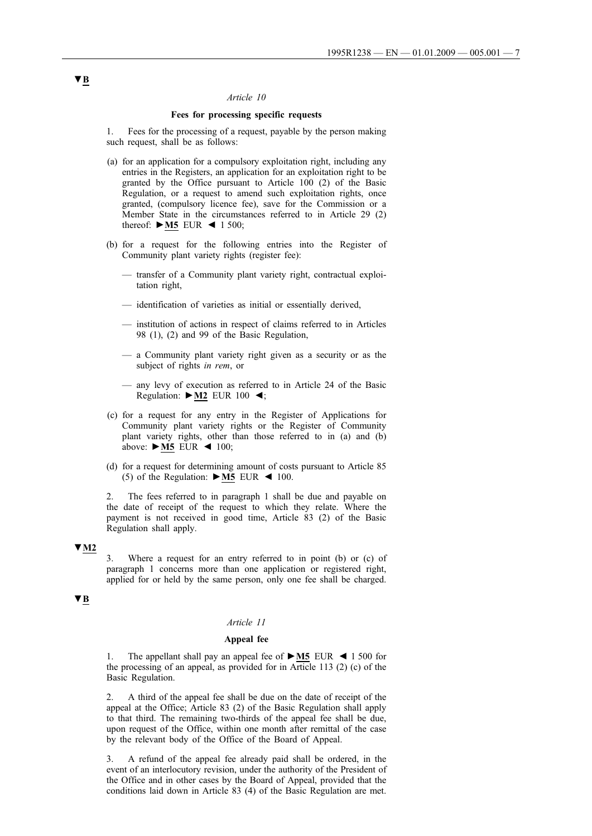#### *Article 10*

#### **Fees for processing specific requests**

1. Fees for the processing of a request, payable by the person making such request, shall be as follows:

- (a) for an application for a compulsory exploitation right, including any entries in the Registers, an application for an exploitation right to be granted by the Office pursuant to Article 100 (2) of the Basic Regulation, or a request to amend such exploitation rights, once granted, (compulsory licence fee), save for the Commission or a Member State in the circumstances referred to in Article 29 (2) thereof: **►M5** EUR ◄ 1 500;
- (b) for a request for the following entries into the Register of Community plant variety rights (register fee):
	- transfer of a Community plant variety right, contractual exploitation right,
	- identification of varieties as initial or essentially derived,
	- institution of actions in respect of claims referred to in Articles 98 (1), (2) and 99 of the Basic Regulation,
	- a Community plant variety right given as a security or as the subject of rights *in rem*, or
	- any levy of execution as referred to in Article 24 of the Basic Regulation: **►M2** EUR 100 ◄;
- (c) for a request for any entry in the Register of Applications for Community plant variety rights or the Register of Community plant variety rights, other than those referred to in (a) and (b) above: **►M5** EUR ◄ 100;
- (d) for a request for determining amount of costs pursuant to Article 85 (5) of the Regulation:  $\triangleright$  **M5** EUR  $\triangleleft$  100.

2. The fees referred to in paragraph 1 shall be due and payable on the date of receipt of the request to which they relate. Where the payment is not received in good time, Article 83 (2) of the Basic Regulation shall apply.

### **▼M2**

3. Where a request for an entry referred to in point (b) or (c) of paragraph 1 concerns more than one application or registered right, applied for or held by the same person, only one fee shall be charged.

### **▼B**

#### *Article 11*

# **Appeal fee**

1. The appellant shall pay an appeal fee of **►M5** EUR ◄ 1 500 for the processing of an appeal, as provided for in Article 113 (2) (c) of the Basic Regulation.

2. A third of the appeal fee shall be due on the date of receipt of the appeal at the Office; Article 83 (2) of the Basic Regulation shall apply to that third. The remaining two-thirds of the appeal fee shall be due, upon request of the Office, within one month after remittal of the case by the relevant body of the Office of the Board of Appeal.

3. A refund of the appeal fee already paid shall be ordered, in the event of an interlocutory revision, under the authority of the President of the Office and in other cases by the Board of Appeal, provided that the conditions laid down in Article 83 (4) of the Basic Regulation are met.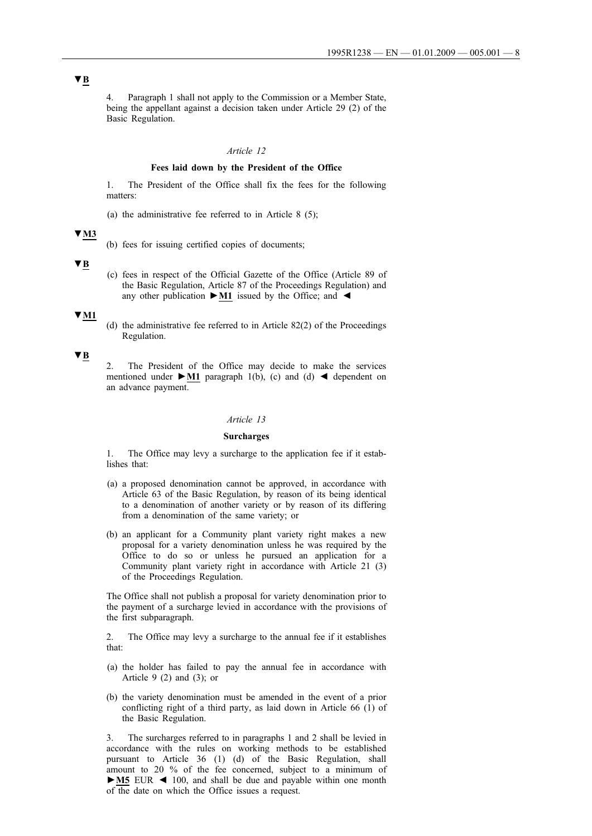4. Paragraph 1 shall not apply to the Commission or a Member State, being the appellant against a decision taken under Article 29 (2) of the Basic Regulation.

#### *Article 12*

### **Fees laid down by the President of the Office**

1. The President of the Office shall fix the fees for the following matters:

(a) the administrative fee referred to in Article 8 (5);

#### **▼M3**

(b) fees for issuing certified copies of documents;

### **▼B**

(c) fees in respect of the Official Gazette of the Office (Article 89 of the Basic Regulation, Article 87 of the Proceedings Regulation) and any other publication **►M1** issued by the Office; and ◄

#### **▼M1**

(d) the administrative fee referred to in Article 82(2) of the Proceedings Regulation.

#### **▼B**

2. The President of the Office may decide to make the services mentioned under  $\blacktriangleright$ **M1** paragraph 1(b), (c) and (d)  $\blacktriangleleft$  dependent on an advance payment.

### *Article 13*

#### **Surcharges**

1. The Office may levy a surcharge to the application fee if it establishes that:

- (a) a proposed denomination cannot be approved, in accordance with Article 63 of the Basic Regulation, by reason of its being identical to a denomination of another variety or by reason of its differing from a denomination of the same variety; or
- (b) an applicant for a Community plant variety right makes a new proposal for a variety denomination unless he was required by the Office to do so or unless he pursued an application for a Community plant variety right in accordance with Article 21 (3) of the Proceedings Regulation.

The Office shall not publish a proposal for variety denomination prior to the payment of a surcharge levied in accordance with the provisions of the first subparagraph.

2. The Office may levy a surcharge to the annual fee if it establishes that:

- (a) the holder has failed to pay the annual fee in accordance with Article 9  $(2)$  and  $(3)$ ; or
- (b) the variety denomination must be amended in the event of a prior conflicting right of a third party, as laid down in Article 66 (1) of the Basic Regulation.

3. The surcharges referred to in paragraphs 1 and 2 shall be levied in accordance with the rules on working methods to be established pursuant to Article 36 (1) (d) of the Basic Regulation, shall amount to 20 % of the fee concerned, subject to a minimum of **►M5** EUR ◄ 100, and shall be due and payable within one month of the date on which the Office issues a request.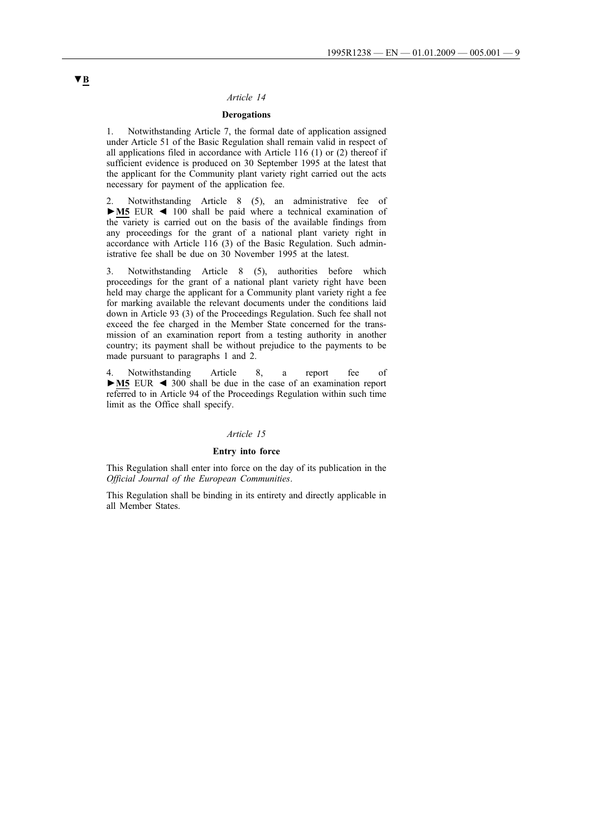#### *Article 14*

# **Derogations**

1. Notwithstanding Article 7, the formal date of application assigned under Article 51 of the Basic Regulation shall remain valid in respect of all applications filed in accordance with Article 116 (1) or (2) thereof if sufficient evidence is produced on 30 September 1995 at the latest that the applicant for the Community plant variety right carried out the acts necessary for payment of the application fee.

2. Notwithstanding Article 8 (5), an administrative fee of **►M5** EUR ◄ 100 shall be paid where a technical examination of the variety is carried out on the basis of the available findings from any proceedings for the grant of a national plant variety right in accordance with Article 116 (3) of the Basic Regulation. Such administrative fee shall be due on 30 November 1995 at the latest.

3. Notwithstanding Article 8 (5), authorities before which proceedings for the grant of a national plant variety right have been held may charge the applicant for a Community plant variety right a fee for marking available the relevant documents under the conditions laid down in Article 93 (3) of the Proceedings Regulation. Such fee shall not exceed the fee charged in the Member State concerned for the transmission of an examination report from a testing authority in another country; its payment shall be without prejudice to the payments to be made pursuant to paragraphs 1 and 2.

Notwithstanding Article 8, a report fee of **►M5** EUR ◄ 300 shall be due in the case of an examination report referred to in Article 94 of the Proceedings Regulation within such time limit as the Office shall specify.

# *Article 15*

#### **Entry into force**

This Regulation shall enter into force on the day of its publication in the *Official Journal of the European Communities*.

This Regulation shall be binding in its entirety and directly applicable in all Member States.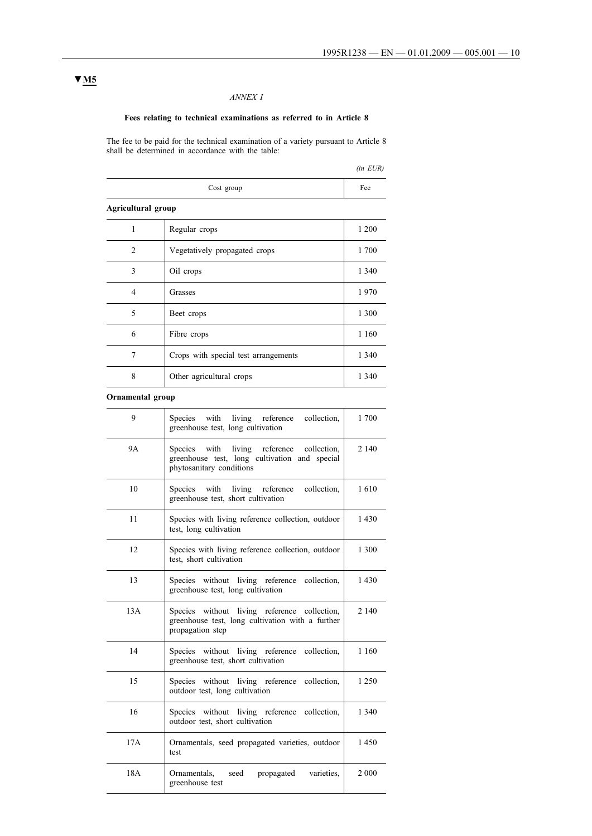# *ANNEX I*

# **Fees relating to technical examinations as referred to in Article 8**

The fee to be paid for the technical examination of a variety pursuant to Article 8 shall be determined in accordance with the table:

|                    |                                      | $(in$ $EUR)$ |  |  |  |
|--------------------|--------------------------------------|--------------|--|--|--|
|                    | Cost group                           | Fee          |  |  |  |
| Agricultural group |                                      |              |  |  |  |
| 1                  | Regular crops                        | 1 200        |  |  |  |
| 2                  | Vegetatively propagated crops        | 1700         |  |  |  |
| 3                  | Oil crops                            | 1 3 4 0      |  |  |  |
| 4                  | Grasses                              | 1970         |  |  |  |
| 5                  | Beet crops                           | 1 300        |  |  |  |
| 6                  | Fibre crops                          | 1 1 6 0      |  |  |  |
| 7                  | Crops with special test arrangements | 1 3 4 0      |  |  |  |
| 8                  | Other agricultural crops             | 1 3 4 0      |  |  |  |

# **Ornamental group**

| 9   | Species<br>with living reference<br>collection,<br>greenhouse test, long cultivation                                            | 1 700   |
|-----|---------------------------------------------------------------------------------------------------------------------------------|---------|
| 9А  | Species<br>with<br>living reference<br>collection,<br>greenhouse test, long cultivation and special<br>phytosanitary conditions | 2 1 4 0 |
| 10  | Species<br>with<br>living reference<br>collection.<br>greenhouse test, short cultivation                                        | 1610    |
| 11  | Species with living reference collection, outdoor<br>test, long cultivation                                                     | 1430    |
| 12  | Species with living reference collection, outdoor<br>test, short cultivation                                                    | 1 300   |
| 13  | Species without living reference collection,<br>greenhouse test, long cultivation                                               | 1430    |
| 13A | Species without living reference collection,<br>greenhouse test, long cultivation with a further<br>propagation step            | 2 1 4 0 |
| 14  | Species without living reference<br>collection,<br>greenhouse test, short cultivation                                           | 1 1 6 0 |
| 15  | Species without living reference<br>collection,<br>outdoor test, long cultivation                                               | 1 2 5 0 |
| 16  | Species without living reference<br>collection,<br>outdoor test, short cultivation                                              | 1 3 4 0 |
| 17A | Ornamentals, seed propagated varieties, outdoor<br>test                                                                         | 1450    |
| 18A | varieties.<br>Ornamentals,<br>seed<br>propagated<br>greenhouse test                                                             | 2 0 0 0 |

# **▼M5**